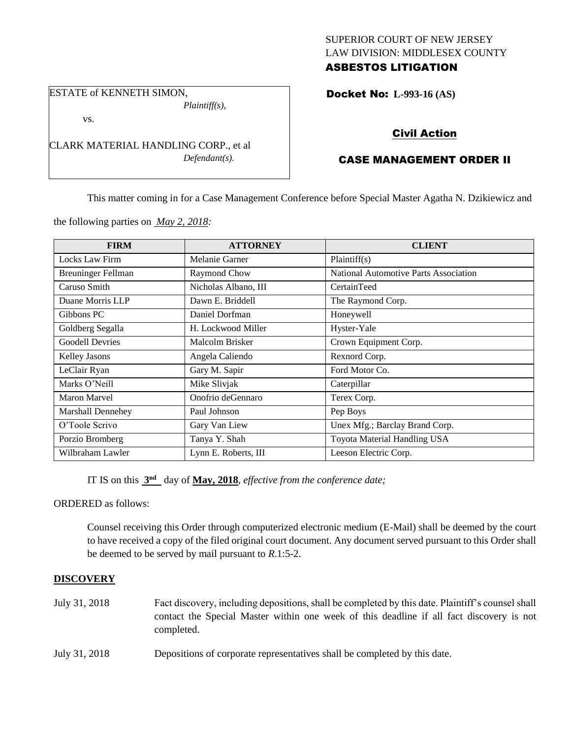## SUPERIOR COURT OF NEW JERSEY LAW DIVISION: MIDDLESEX COUNTY ASBESTOS LITIGATION

ESTATE of KENNETH SIMON, *Plaintiff(s),*

vs.

CLARK MATERIAL HANDLING CORP., et al *Defendant(s).*

# Docket No: **L-993-16 (AS)**

# Civil Action

# CASE MANAGEMENT ORDER II

This matter coming in for a Case Management Conference before Special Master Agatha N. Dzikiewicz and

the following parties on *May 2, 2018:*

| <b>FIRM</b>               | <b>ATTORNEY</b>      | <b>CLIENT</b>                         |
|---------------------------|----------------------|---------------------------------------|
| Locks Law Firm            | Melanie Garner       | Plaintiff(s)                          |
| <b>Breuninger Fellman</b> | Raymond Chow         | National Automotive Parts Association |
| Caruso Smith              | Nicholas Albano, III | CertainTeed                           |
| Duane Morris LLP          | Dawn E. Briddell     | The Raymond Corp.                     |
| Gibbons PC                | Daniel Dorfman       | Honeywell                             |
| Goldberg Segalla          | H. Lockwood Miller   | Hyster-Yale                           |
| <b>Goodell Devries</b>    | Malcolm Brisker      | Crown Equipment Corp.                 |
| <b>Kelley Jasons</b>      | Angela Caliendo      | Rexnord Corp.                         |
| LeClair Ryan              | Gary M. Sapir        | Ford Motor Co.                        |
| Marks O'Neill             | Mike Slivjak         | Caterpillar                           |
| Maron Marvel              | Onofrio deGennaro    | Terex Corp.                           |
| Marshall Dennehey         | Paul Johnson         | Pep Boys                              |
| O'Toole Scrivo            | Gary Van Liew        | Unex Mfg.; Barclay Brand Corp.        |
| Porzio Bromberg           | Tanya Y. Shah        | Toyota Material Handling USA          |
| Wilbraham Lawler          | Lynn E. Roberts, III | Leeson Electric Corp.                 |

IT IS on this  $3<sup>nd</sup>$  day of May, 2018, *effective from the conference date*;

ORDERED as follows:

Counsel receiving this Order through computerized electronic medium (E-Mail) shall be deemed by the court to have received a copy of the filed original court document. Any document served pursuant to this Order shall be deemed to be served by mail pursuant to *R*.1:5-2.

## **DISCOVERY**

- July 31, 2018 Fact discovery, including depositions, shall be completed by this date. Plaintiff's counsel shall contact the Special Master within one week of this deadline if all fact discovery is not completed.
- July 31, 2018 Depositions of corporate representatives shall be completed by this date.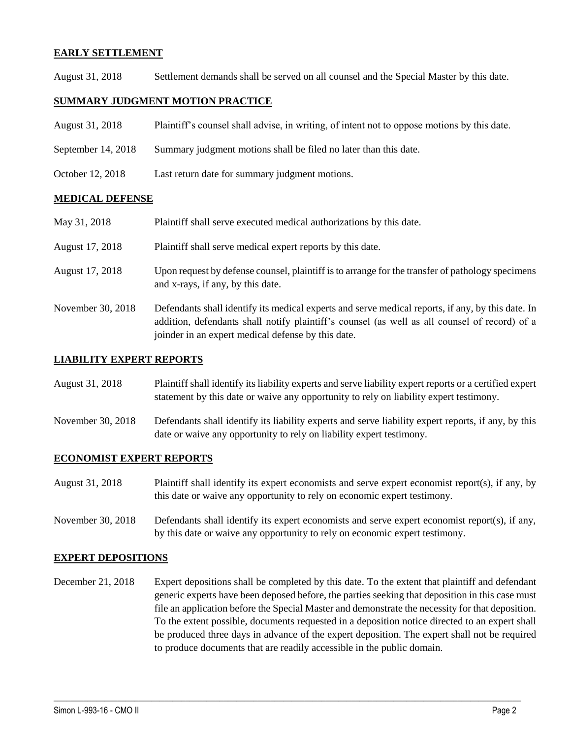#### **EARLY SETTLEMENT**

August 31, 2018 Settlement demands shall be served on all counsel and the Special Master by this date.

#### **SUMMARY JUDGMENT MOTION PRACTICE**

| August 31, 2018      | Plaintiff's counsel shall advise, in writing, of intent not to oppose motions by this date. |
|----------------------|---------------------------------------------------------------------------------------------|
| September $14, 2018$ | Summary judgment motions shall be filed no later than this date.                            |
| October 12, 2018     | Last return date for summary judgment motions.                                              |

#### **MEDICAL DEFENSE**

| May 31, 2018      | Plaintiff shall serve executed medical authorizations by this date.                                                                                                                                                                                      |
|-------------------|----------------------------------------------------------------------------------------------------------------------------------------------------------------------------------------------------------------------------------------------------------|
| August 17, 2018   | Plaintiff shall serve medical expert reports by this date.                                                                                                                                                                                               |
| August 17, 2018   | Upon request by defense counsel, plaintiff is to arrange for the transfer of pathology specimens<br>and x-rays, if any, by this date.                                                                                                                    |
| November 30, 2018 | Defendants shall identify its medical experts and serve medical reports, if any, by this date. In<br>addition, defendants shall notify plaintiff's counsel (as well as all counsel of record) of a<br>joinder in an expert medical defense by this date. |

#### **LIABILITY EXPERT REPORTS**

| August 31, 2018 | Plaintiff shall identify its liability experts and serve liability expert reports or a certified expert |
|-----------------|---------------------------------------------------------------------------------------------------------|
|                 | statement by this date or waive any opportunity to rely on liability expert testimony.                  |

November 30, 2018 Defendants shall identify its liability experts and serve liability expert reports, if any, by this date or waive any opportunity to rely on liability expert testimony.

#### **ECONOMIST EXPERT REPORTS**

August 31, 2018 Plaintiff shall identify its expert economists and serve expert economist report(s), if any, by this date or waive any opportunity to rely on economic expert testimony.

November 30, 2018 Defendants shall identify its expert economists and serve expert economist report(s), if any, by this date or waive any opportunity to rely on economic expert testimony.

#### **EXPERT DEPOSITIONS**

December 21, 2018 Expert depositions shall be completed by this date. To the extent that plaintiff and defendant generic experts have been deposed before, the parties seeking that deposition in this case must file an application before the Special Master and demonstrate the necessity for that deposition. To the extent possible, documents requested in a deposition notice directed to an expert shall be produced three days in advance of the expert deposition. The expert shall not be required to produce documents that are readily accessible in the public domain.

 $\_$  ,  $\_$  ,  $\_$  ,  $\_$  ,  $\_$  ,  $\_$  ,  $\_$  ,  $\_$  ,  $\_$  ,  $\_$  ,  $\_$  ,  $\_$  ,  $\_$  ,  $\_$  ,  $\_$  ,  $\_$  ,  $\_$  ,  $\_$  ,  $\_$  ,  $\_$  ,  $\_$  ,  $\_$  ,  $\_$  ,  $\_$  ,  $\_$  ,  $\_$  ,  $\_$  ,  $\_$  ,  $\_$  ,  $\_$  ,  $\_$  ,  $\_$  ,  $\_$  ,  $\_$  ,  $\_$  ,  $\_$  ,  $\_$  ,